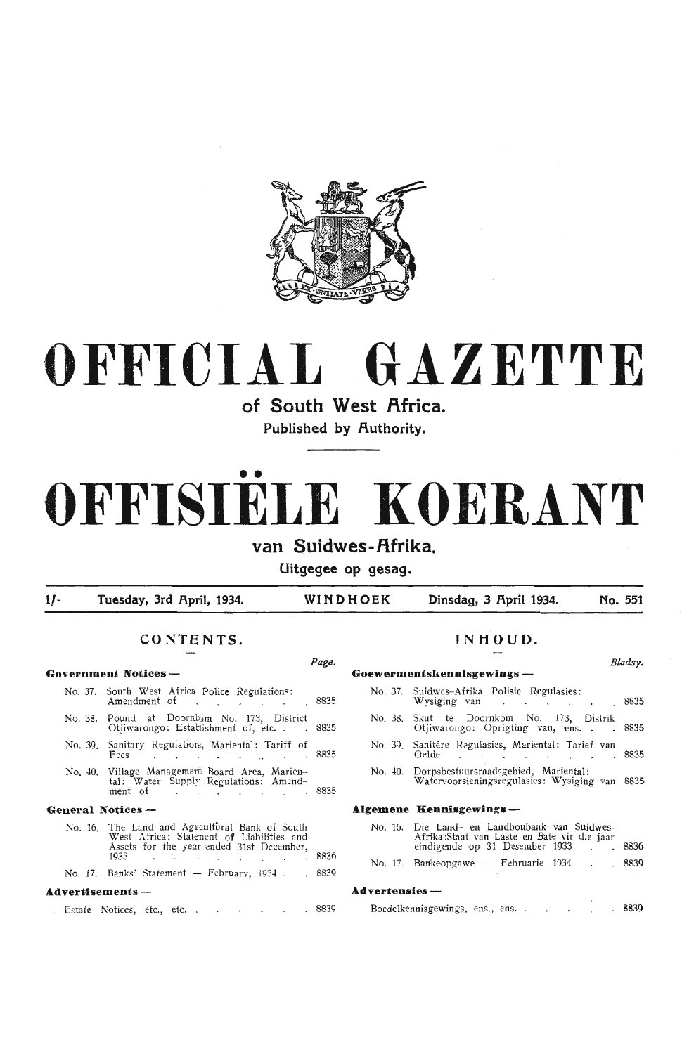

## **OFFICIAL GAZETTE**

**of South West Africa.** 

Published by Authority.

# •• **OFFISIELE KOERANT**

## van Suidwes-Afrika.

**Uitgegee op gesag.** 

1/- **Tuesday, 3rd April, 1934.** WINDHOEK Dinsdag, 3 April 1934. No. 551

### **CONTENTS. JNHOUD.**

#### Page. Bladsy. **Government Notices - Goewermentskennisgewings** - No. 37. South West Africa Police Regulations: Amendment of . . . . 8835 No. 38. Pound at Doornlom No. 173, District<br>Otiiwarongo: Establishment of etc. . . 8835 Otjiwarongo: Estabishment of, etc. No. 39. Sanitary Regulation, Mariental: Tariff of<br>Fees Freguenon, mariental carrier of 8835 No. 40. Village Management Board Area, Marien-<br>tal: Water Supply Regulations: Amend-<br>ment of 8835 General Notices --No. 16. The Land and Agreultural Bank of South West Africa: Statenent of Liabilities and Assets for the year ended 31st December,  $\frac{1}{3}$  8836 No. 17. Banks' Statement - February, 1934 . 8839 **Advertisements** - No. 37. Suidwes-Afrika Polisie Regulasies: No. 38. Skut te Doornkom No. 173, Distrik No. *40.* Dorpsbestuursraadsgebied, Mariental: **Algem** No. 16. Die Land- en Landboubank van Suidw·es- Afrika :Staat van Laste en Bate vir die jaar Adver

|  | Estate Notices, etc., etc. . |  |  |  |  |  |  |  |  | . 8839 |
|--|------------------------------|--|--|--|--|--|--|--|--|--------|
|--|------------------------------|--|--|--|--|--|--|--|--|--------|

|              | No. 37. Suidwes-Afrika Polisie Regulasies:<br>Wysiging van de de de de de la de la de la de la de la de la de la de la de la de la de la de la de la de la d | 8835 |
|--------------|--------------------------------------------------------------------------------------------------------------------------------------------------------------|------|
|              | No. 38. Skut te Doornkom No. 173, Distrik<br>Otiiwarongo: Oprigting van, ens. 8835                                                                           |      |
| No. 39.      | Sanitêre Regulasies, Mariental: Tarief van<br>Gelde<br>the company of the company of the company of                                                          | 8835 |
|              | No. 40. Dorpsbestuursraadsgebied, Mariental:<br>Watervoorsieningsregulasies: Wysiging van                                                                    | 8835 |
|              | emene Kennisgewings —                                                                                                                                        |      |
|              | No. 16. Die Land- en Landboubank van Suidwes-<br>Afrika:Staat van Laste en Bate vir die jaar<br>eindigende op 31 Desember 1933 . 8836                        |      |
|              | No. 17. Bankeopgawe -- Februarie 1934                                                                                                                        | 8839 |
| vertensies — |                                                                                                                                                              |      |

Boedelkennisgewings, ens., ens. . . . . . . 8839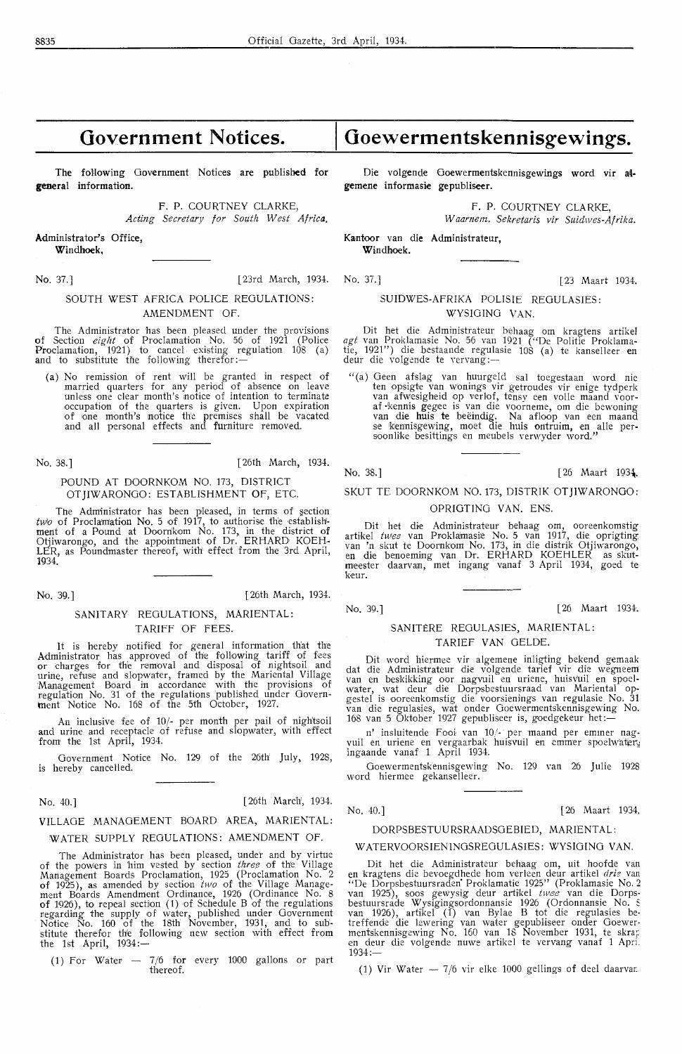## **Government Notices.**

The following Government Notices are published for **general information.** 

**F. P.** COURTNEY CLARKE,

*Acting Secretary for South West Africa.* 

**Administrator's Office, Windhoek,** 

No. 37.] [23rd March, 1934. No. 37.] [ 23 Maart 1934.

#### SOUTH WEST AFRICA POLICE REGULATIONS: AMENDMENT OF.

The Administrator has been pleased under the provisions of Section *eight* of Proclamation No. 56 of 1921 (Police Proclamation, 1921) to cancel existing regulation 108 (a)<br>and to substitute the following therefor:—

(a) No remission of rent will be granted in respect of married quarters for any period of absence on leave unless one clear month's notice of intention to terminate occupation of the quarters is given. Upon expiration of one month's notice th'e premises shall be vacated and all personal effects and furniture removed.

No. 38.] [ 26th March, 1934.

#### POUND AT DOORNKOM NO. 173, DISTRICT OT JIW ARONGO: ESTABLISHMENT OF, ETC.

The Administrator has been pleased, in terms of section  $two$  of Proclamation No. 5 of 1917, to authorise the establishment of a Pound at Doornkom No. 173, in the district of Otjiwarongo, and the appointment of Dr. ERHARD KOEH-LER, as Poundmaster thereof, with effect from the 3rd April, 1934.

No. 39.] [ 26th March, 1934.

#### SANITARY REGULATIONS, MARIENTAL: TARIFF OF FEES.

It is hereby notified for general information th'at the Administrator has approved of the following tariff of fees<br>or charges for the removal and disposal of nightsoil and urine, refuse and slopwater, framed by the Mariental Village<br>Management Board in accordance with the provisions of regulation No. 31 of the regulations published under Govern-ment Notice No. 168 of the 5th October, 1927.

An inclusive fee of 10/- per month per pail of nightsoil and urine and receptacle of refuse and slopwater, with effect from the 1st April, 1934.

Government Notice No. 129 of the 26th July, 1928, is hereby cancelled.

| No. 40.] |  | [26th March, 1934. |  |
|----------|--|--------------------|--|
|----------|--|--------------------|--|

#### VILLAGE MANAGEMENT BOARD AREA, MARIENTAL: WATER SUPPLY REGULATIONS: AMENDMENT OF.

The Administrator has been pleased, under and by virtue of the powers in him vested by section *three* of the Village Management Boards Proclamation, 1925 (Proclamation No. 2<br>of 1925), as amended by section *two* of the Village Management Boards Amendment Ordinance, 1926 (Ordinance No. 8<br>of 1926), to repeal section (1) of Schedule B of the regulations regarding the supply of water, published under Government Notioe No. 160 of the 18th November, 1931, and to substitute therefor th'e following new section with effect from<br>the 1st April, 1934:—

(1) For Water  $-7/6$  for every 1000 gallons or part thereof.

## **Goewermentskennisgewings.**

Die volgende Ooewermentskennisgewings word vir **at**gemene informasie gepubliseer.

F. P. COURTNEY CLARKE,

*W aarnem. Sekretaris vir Suidwes-Afrika.* 

Kantoor van die Administrateur, **Windhoek.** 

#### SUIDWES-AFRIKA POLISIE REGULASIES: WYSIOINO VAN.

Dit het die Administrateur behaag om kragtens artikel *agt* van Proklamasie No. 56 van 1921 ("De Politie Proklamatie, 1921") die bestaande regulasie 108 (a) *te* kanselleer en deur die volgcnde te vervang :--

" (a) Geen afslag van huurgeld sal toegestaan word nie ten opsigte van wonings vir getroudes vir enige tydperk<br>van afwesigheid op verlof, tensy een volle maand voor-<br>af kennis gegee is van die voorneme, om die bewoning<br>van die huis te beëindig. Na afloop van een maand<br>se kenni soonlike besittings en meubels verwyder word."

No. 38.] [26 Maart 1934.

#### SKUT TE DOORNKOM NO. 173, DISTRIK OT JIWARONGO: OPRIGTING VAN. ENS.

Dit het die Administrateur behaag om, ooreenkomstig artikel *twee* van Proklamasie No. 5 van 1917, die oprigting<br>van 'n skut te Doornkom No. 173, in die distrik Otjiwarongo,<br>en die benoeming van Dr. ERHARD KOEHLER as skutmeester daarvan, met ingang vanaf 3 April 1934, goed te keur.

No. 39.] [ 26 Maart 1934.

#### SANITÈRE REGULASIES, MARIENTAL: TARIEF VAN GELDE.

Dit word hiermee vir algemene inligting bekend gemaak dat die Administrateur die volgende tarief vir die wegneem<br>van en beskikking oor nagvuil en uriene, huisvuil en spoelwater, wat deur die Dorpsbestuursraad van Mariental opgestel is ooreenkomstig die voorsienings van regulasie No. 31 van die regulasies, wat onder Goewermentskennisgewing No. van die regulasies, wat onder Goewermentskennisgewing<br>168 van 5 Oktober 1927 gepubliseer is, goedgekeur het :—

n' insluitende Fooi van 10/- per maand per emmer nagvuil en uriene en vergaarbak huisvuil en emmer spoelwater, ingaande vanaf 1 April 1934.

Goewermentskennisgewing No. 129 van 26 Julie 1928 word hiermee gekanselleer.

No. 40.] [ 26 Maart 1934.

#### DORPSBESTUURSRAADSGEBIED, MARIENTAL:

#### W ATERVOORSIENINGSREGULASIES: WYSIOING VAN.

Dit het die Administrateur behaag om, uit hoofde van<br>en kragtens die bevoegdhede hom verleen deur artikel *drie* van<br>"De Dorpsbestuursraden Proklamatie 1925" (Proklamasie No. 2<br>van 1925), soos gewysig deur artikel *twee* v bestuursrade Wysigingsordonnansie 1926 (Ordonnansie No. S van 1926), artikel (1) van Bylae B tot die regulasies betreffende die lewering van water gepubliseer onder Ooewermentskennisgewing No. 160 van 18 November 1931, te skrar;<br>en deur die volgende nuwe artikel te vervang vanaf 1 Apri. 1934:-

(1) Vir Water  $-7/6$  vir elke 1000 gellings of deel daarvan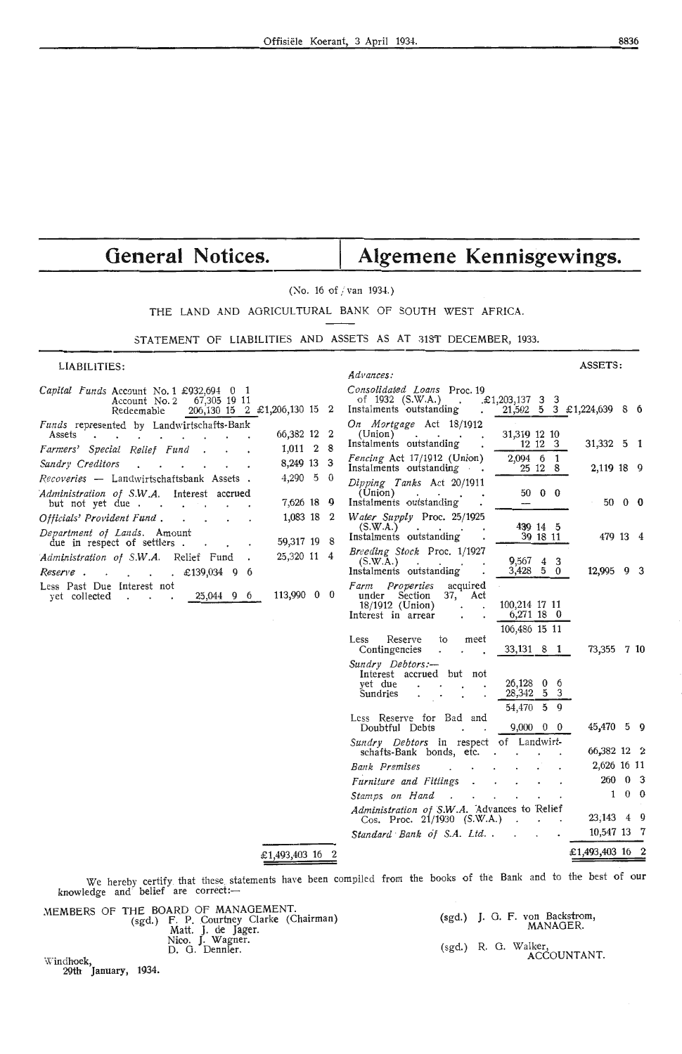## General Notices. | Algemene Kennisgewings.

#### (No. 16 of / van 1934.)

THE LAND AND AGRICULTURAL BANK OF SOUTH WEST AFRICA.

#### STATEMENT OF LIABILITIES AND ASSETS AS AT 31ST DECEMBER, 1933.

LIABILITIES:

| LIADILITILJ.                                                                                                                                     | Advances:                                                                                                                                             |                             |
|--------------------------------------------------------------------------------------------------------------------------------------------------|-------------------------------------------------------------------------------------------------------------------------------------------------------|-----------------------------|
| <i>Capital Funds</i> Account No. 1 $\text{\pounds}932,694$ 0 1<br>Account No. 2<br>67,305 19 11<br>206, 130 15 2 £1, 206, 130 15 2<br>Redeemable | Consolidated Loans Proc. 19<br>$\text{\pounds}1,203,137 \quad 3 \quad 3$<br>of 1932 (S.W.A.)<br>Instalments outstanding<br>$\ddot{\phantom{0}}$       | $21,502$ 5 3 £1,224,639 8 6 |
| Funds represented by Landwirtschafts-Bank<br>66,382 12 2<br>Assets<br>1,011 2 8                                                                  | On Mortgage Act 18/1912<br>31,319 12 10<br>(Union)<br>the contract of the con-<br>12 12 3<br>Instalments outstanding                                  | 31,332 5 1                  |
| Farmers' Special Relief Fund<br>8,249 13 3<br>Sundry Creditors                                                                                   | 2,094 6 1<br>Fencing Act 17/1912 (Union)                                                                                                              |                             |
| $4,290\quad 5\quad 0$<br>Recoveries - Landwirtschaftsbank Assets.                                                                                | 25 12 8<br>Instalments outstanding                                                                                                                    | 2,119 18 9                  |
| Administration of S.W.A.<br>Interest accrued<br>7,626 18 9<br>but not yet due.<br>$\sim$ $\sim$                                                  | Dipping Tanks Act 20/1911<br>$50\quad 0\quad 0$<br>(Union)<br>Instalments outstanding                                                                 | $50 \quad 0 \quad 0$        |
| 1,083 18 2<br>Officials' Provident Fund.<br>Department of Lands. Amount                                                                          | Water Supply Proc. 25/1925<br>439 14 5<br>(S.W.A.)<br><b>Contract Contract Contract</b><br>39 18 11<br>Instalments outstanding                        | 479 13 4                    |
| 59,317 19 8<br>due in respect of settlers.<br>25,320 11 4<br>Administration of S.W.A. Relief Fund<br>$£139,034$ 9 6<br>Reserve.                  | Breeding Stock Proc. 1/1927<br>$9,567$ 4 3<br>(S.W.A.)<br>$\sim$<br>$3,428$ 5 0<br>Instalments outstanding                                            | 12,995 9 3                  |
| Less Past Due Interest not<br>113,990 0 0<br>25,044 9 6<br>yet collected                                                                         | Farm Properties<br>acquired<br>under Section<br>37, Act<br>100,214 17 11<br>$18/1912$ (Union)<br>$6,271$ 18 0<br>Interest in arrear<br>106,486 15 11  |                             |
|                                                                                                                                                  | Reserve<br>Less<br>to<br>meet<br>Contingencies<br>33,131 8 1                                                                                          | 73,355 7 10                 |
|                                                                                                                                                  | Sundry Debtors:-<br>Interest accrued but not<br>$26,128$ 0 6<br>yet due<br>28,342 5 3<br>Sundries<br>54,470<br>$5\quad 9$<br>Less Reserve for Bad and |                             |
|                                                                                                                                                  | $9,000 \quad 0 \quad 0$<br>Doubtful Debts<br>Sundry Debtors in respect of Landwirt-                                                                   | 45,470 5 9                  |
|                                                                                                                                                  | schafts-Bank bonds, etc.                                                                                                                              | 66,382 12 2                 |
|                                                                                                                                                  | Bank Premises                                                                                                                                         | 2,626 16 11                 |
|                                                                                                                                                  | Furniture and Fittings                                                                                                                                | 260 0 3                     |
|                                                                                                                                                  | Stamps on Hand                                                                                                                                        | $0\quad 0$<br>$\mathbf{1}$  |
|                                                                                                                                                  | Administration of S.W.A. Advances to Relief<br>Cos. Proc. 21/1930 (S.W.A.)                                                                            | 23,143 4 9                  |
|                                                                                                                                                  | Standard Bank of S.A. Ltd                                                                                                                             | 10,547 13 7                 |
| £1,493,403,16 2                                                                                                                                  |                                                                                                                                                       | £1,493,403 16 2             |

£1,493,403 16 2

We hereby certify that these statements have been compiled from the books of the Bank and to the best of our knowledge and belief are correct:-

|           |        | MEMBERS OF THE BOARD OF MANAGEMENT.<br>(sgd.) F. P. Courtney Clarke (Chairman)<br>Matt. J. de Jager. |  | (sgd.) J. G. F. von Backstrom.<br>MANAGER. |
|-----------|--------|------------------------------------------------------------------------------------------------------|--|--------------------------------------------|
|           |        | Nico. J. Wagner.<br>D. G. Dennler.                                                                   |  | (sgd.) R. G. Walker.<br>ACCOUNTANT.        |
| Windhock, | $   -$ |                                                                                                      |  |                                            |

29th January, 1934.

ASSETS: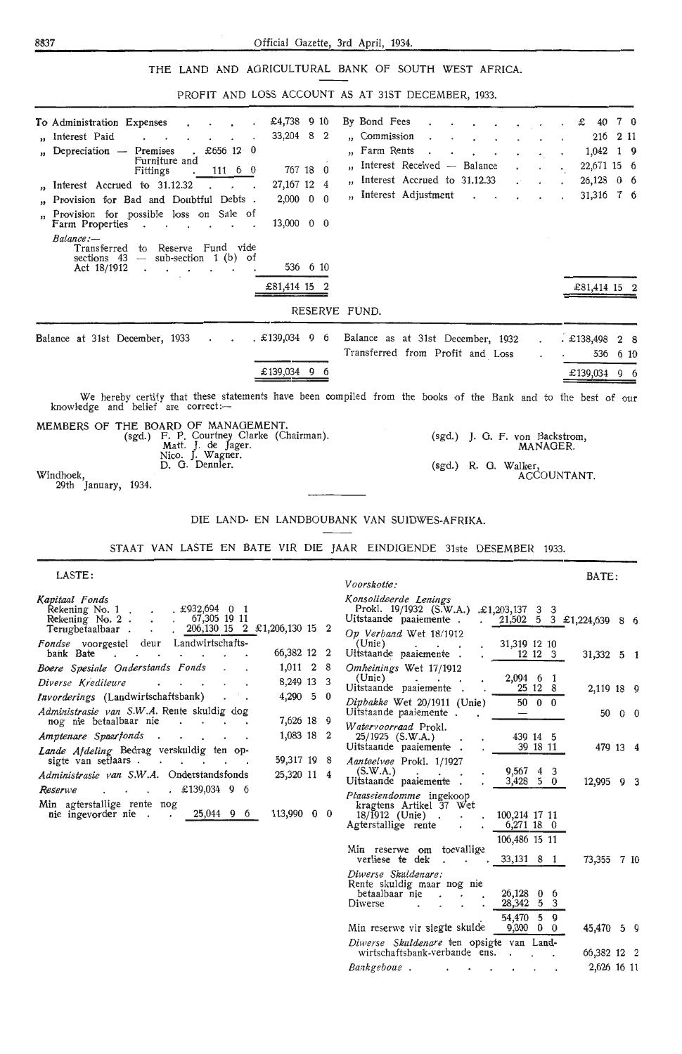#### THE LAND AND AGRICULTURAL BANK OF SOUTH WEST AFRICA.

PROFIT AND LOSS ACCOUNT AS AT 31ST DECEMBER 1033

|                                                                                                                                                                                                                                                                                                                                                                                                                                                                                                                                                                                                              | FROITE AND LOSS ACCOUNT AS AT JIST DECEMBER, 1935.                                                                                                                                                                                                                           |
|--------------------------------------------------------------------------------------------------------------------------------------------------------------------------------------------------------------------------------------------------------------------------------------------------------------------------------------------------------------------------------------------------------------------------------------------------------------------------------------------------------------------------------------------------------------------------------------------------------------|------------------------------------------------------------------------------------------------------------------------------------------------------------------------------------------------------------------------------------------------------------------------------|
| To Administration Expenses<br>£4,738 9 10<br>" Interest Paid<br>33,204 8 2<br>Depreciation - Premises<br>£656 $12 \cdot 0$<br>Furniture and<br>767 18 0<br>Fittings<br>$111 \t 6 \t 0$<br>Interest Accrued to 31.12.32<br>27, 167 12 4<br>$2,000 \quad 0 \quad 0$<br>Provision for Bad and Doubtful Debts.<br>Provision for possible loss on Sale of<br>$\overline{\mathbf{3}}$<br>Farm Properties<br>$13,000 \quad 0 \quad 0$<br>$\ddot{\phantom{0}}$<br>$\cdot$ .<br>Balance:<br>Transferred to Reserve Fund vide<br>sections $43$ - sub-section 1 (b) of                                                  | By Bond Fees<br>7 0<br>$£$ 40<br>" Commission<br>2 11<br>216<br>Farm Rents<br>$1,042$ 1 9<br>,,<br>Interest Received - Balance<br>22,671 15 6<br>$\bullet$<br>Interest Accrued to 31.12.33<br>$26,128$ 0 6<br>Interest Adjustment<br>31,316 7 6<br>$\mathbf{r} = \mathbf{r}$ |
| 536 6 10<br>Act 18/1912<br>$\cdot$<br>£81,414 15 2                                                                                                                                                                                                                                                                                                                                                                                                                                                                                                                                                           |                                                                                                                                                                                                                                                                              |
|                                                                                                                                                                                                                                                                                                                                                                                                                                                                                                                                                                                                              | £81,414 15 2                                                                                                                                                                                                                                                                 |
|                                                                                                                                                                                                                                                                                                                                                                                                                                                                                                                                                                                                              | RESERVE FUND.                                                                                                                                                                                                                                                                |
| Balance at 31st December, 1933<br>$. \pounds139,034$ 9 6<br>£139,034 9 6                                                                                                                                                                                                                                                                                                                                                                                                                                                                                                                                     | Balance as at 31st December, 1932<br>£138,498<br>2 8<br>Transferred from Profit and Loss<br>536<br>6 10<br>£139,034 9 6                                                                                                                                                      |
| knowledge and belief are correct:-                                                                                                                                                                                                                                                                                                                                                                                                                                                                                                                                                                           | We hereby certify that these statements have been compiled from the books of the Bank and to the best of our                                                                                                                                                                 |
| MEMBERS OF THE BOARD OF MANAGEMENT.<br>(sgd.) F. P. Courtney Clarke (Chairman).<br>Matt. J. de Jager.<br>Nico. J. Wagner.<br>D. G. Dennler.<br>Windhoek,<br>29th January, 1934.                                                                                                                                                                                                                                                                                                                                                                                                                              | (sgd.) J. G. F. von Backstrom,<br>MANAGER.<br>(sgd.) R. G. Walker,<br>ACCOUNTANT.                                                                                                                                                                                            |
| LASTE:                                                                                                                                                                                                                                                                                                                                                                                                                                                                                                                                                                                                       | STAAT VAN LASTE EN BATE VIR DIE JAAR EINDIGENDE 31ste DESEMBER 1933.                                                                                                                                                                                                         |
|                                                                                                                                                                                                                                                                                                                                                                                                                                                                                                                                                                                                              | BATE:<br>Voorskotte:                                                                                                                                                                                                                                                         |
| Kapitaal Fonds<br>Rekening No. 1 £932,694 0 1<br>Rekening No. 2<br>67,305 19 11<br>$\sim 10^{-11}$<br>. $206,130$ 15 2 £1,206,130 15 2<br>Terugbetaalbaar                                                                                                                                                                                                                                                                                                                                                                                                                                                    | Konsolideerde Lenings<br>Prokl. 19/1932 (S.W.A.) .£1,203,137 3 3<br>Uitstaande paaiemente.<br>21,502 5 3 £1,224,639 8 6<br>Op Verband Wet 18/1912                                                                                                                            |
| Fondse voorgestel deur Landwirtschafts-<br>66,382 12 2<br>bank Bate<br>$\ddot{\phantom{0}}$<br>$\sim$<br>$\cdot$<br>$\ddot{\phantom{0}}$<br>Boere Spesiale Onderstands Fonds<br>1,011 2 8                                                                                                                                                                                                                                                                                                                                                                                                                    | (Unie)<br>31,319 12 10<br>the company of the com-<br>Uitstaande paaiemente.<br>12 12 3<br>31,332 5 1<br>Omheinings Wet 17/1912                                                                                                                                               |
| Diverse Krediteure<br>8,249 13 3<br>$\cdot$ $\cdot$ $\cdot$<br>Invorderings (Landwirtschaftsbank)<br>$4,290$ 5 0<br>$\ddotsc$                                                                                                                                                                                                                                                                                                                                                                                                                                                                                | (Unie)<br>2,094 6 1<br>Uitstaande paaiemente.<br>25 12 8<br>2,119 18 9                                                                                                                                                                                                       |
| Administrasie van S.W.A. Rente skuldig dog                                                                                                                                                                                                                                                                                                                                                                                                                                                                                                                                                                   | Dipbakke Wet 20/1911 (Unie)<br>$50\quad 0\quad 0$<br>Uitstaande paaiemente.<br>50 0 0<br>$\sim$                                                                                                                                                                              |
| nog nie betaalbaar nie<br>7,626 18 9<br>the contract of the con-<br>1,083 18 2<br>Amptenare Spaarfonds<br><b>Contract Contract Contract</b><br>Lande Afdeling Bedrag verskuldig ten op-                                                                                                                                                                                                                                                                                                                                                                                                                      | Watervoorraad Prokl.<br>25/1925 (S.W.A.)<br>439 14 5<br>Uitstaande paaiemente.<br>39 18 11<br>479 13 4                                                                                                                                                                       |
| 59,317 19 8<br>sigte van setlaars<br>Administrasie van S.W.A. Onderstandsfonds<br>25,320 11 4<br>Reserwe<br>$\therefore$ $\therefore$ $\therefore$ $\therefore$ $\therefore$ $\therefore$ $\therefore$ $\therefore$ $\therefore$ $\therefore$ $\therefore$ $\therefore$ $\therefore$ $\therefore$ $\therefore$ $\therefore$ $\therefore$ $\therefore$ $\therefore$ $\therefore$ $\therefore$ $\therefore$ $\therefore$ $\therefore$ $\therefore$ $\therefore$ $\therefore$ $\therefore$ $\therefore$ $\therefore$ $\therefore$ $\therefore$ $\therefore$ $\therefore$ $\therefore$ $\therefore$ $\therefore$ | Aanteelvee Prokl. 1/1927<br>(S.W.A.)<br>$9,567$ 4 3<br>Uitstaande paaiemente.<br>$3,428$ 5 0<br>12,995 9<br>3                                                                                                                                                                |
| Min agterstallige rente nog<br>nie ingevorder nie 25,044 9 6<br>113,990 0 0                                                                                                                                                                                                                                                                                                                                                                                                                                                                                                                                  | Plaaseiendomme ingekoop<br>kragtens Artikel 37 Wet<br>$18/1912$ (Unie)<br>100,214 17 11<br>Agterstallige rente<br>6,271 18 0<br>106,486 15 11                                                                                                                                |
|                                                                                                                                                                                                                                                                                                                                                                                                                                                                                                                                                                                                              | Min reserwe om toevallige<br>verliese te dek.<br>$.33,131$ 8 1<br>73,355 7 10<br>$\cdot$<br>Diwerse Skuldenare:                                                                                                                                                              |
|                                                                                                                                                                                                                                                                                                                                                                                                                                                                                                                                                                                                              | Rente skuldig maar nog nie<br>betaalbaar nie<br>$26,128$ 0 6<br>$\cdot$<br>Diwerse<br>28,342 5 3                                                                                                                                                                             |
|                                                                                                                                                                                                                                                                                                                                                                                                                                                                                                                                                                                                              | 54,470 5 9<br>Min reserwe vir slegte skulde<br>45,470 5 9<br>$9,000 \quad 0 \quad 0$                                                                                                                                                                                         |

Diwerse Skuldenare ten opsigte van Landwirtschaftsbank-verbande ens.

Bankgeboue.

<u>in the community of the community of the community of the community of the community of the community of the community of the community of the community of the community of the community of the community of the community </u>

66,382 12 2

2,626 16 17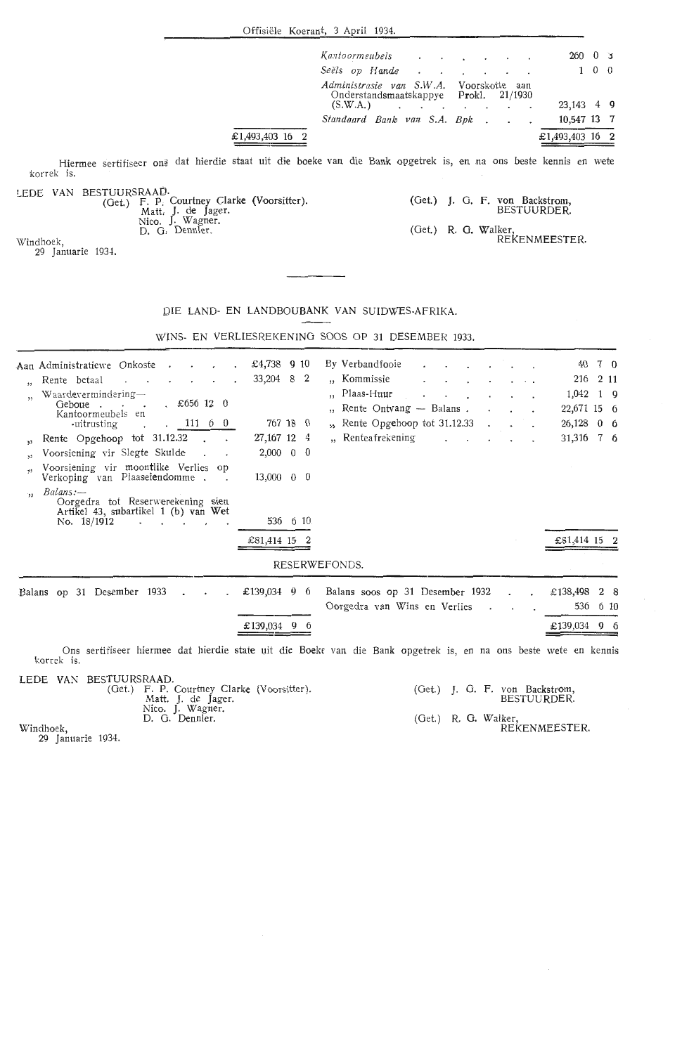Offisiele Koerant, 3 April 1934.

|                 |  | Kantoormeubels                                                                                 |  |                                                 |  | 260             |             | 0 <sup>5</sup> |
|-----------------|--|------------------------------------------------------------------------------------------------|--|-------------------------------------------------|--|-----------------|-------------|----------------|
|                 |  | Seëls op Hande                                                                                 |  | the contract of the contract of the contract of |  |                 | $1 \quad 0$ |                |
|                 |  | Administrasie van S.W.A. Voorskotte aan<br>Onderstandsmaatskappye Prokl. 21/1930<br>$(S.W.A.)$ |  |                                                 |  | 23,143 4 9      |             |                |
|                 |  | Standaard Bank van S.A. Bpk                                                                    |  |                                                 |  | 10.547 13 7     |             |                |
| £1,493,403 16 2 |  |                                                                                                |  |                                                 |  | £1,493,403 16 2 |             |                |

Hiermee sertifiseer on§ dat hierdie staat uit die boeke van die Bank opgetrek is, en na ons beste kennis en wete korrek is.

|  | LEDE VAN BESTUURSRAAD.                     |
|--|--------------------------------------------|
|  | (Get.) F. P. Courtney Clarke (Voorsitter). |
|  | Matt. J. de Jager.                         |
|  | Nico. J. Wagner.                           |
|  | D. G. Dennler.                             |

(Voorsitter). (Get.) J. G. F. von Backstrom, BESTUURDER. (Get.) R. G. Walker, RE KEN MEESTER.

Windhoek, 29 Januarie 1934.

#### J)IE LAND- EN LANDBOUBANK VAN SUIDWES-AFRIKA.

WINS- EN VERLIESREKENING SOOS OP 31 DESEMBER 1933.

|         | Aan Administratiewe Onkoste .<br>$\overline{\phantom{a}}$<br>$\sim$                                  | £4,738 $910$             | By Verbandfooie                                                                                                  |           |          | 40           | 7 0        |
|---------|------------------------------------------------------------------------------------------------------|--------------------------|------------------------------------------------------------------------------------------------------------------|-----------|----------|--------------|------------|
|         | Rente betaal<br><b>Contract Contract</b><br>the contract of the contract of                          | 33,204 8 2               | "Kommissie                                                                                                       |           | $\cdots$ | 216          | 2 1 1      |
|         | Waardevermindering—                                                                                  |                          | ", Plaas-Huur                                                                                                    |           |          | 1,042        | $1\quad 9$ |
|         | . 5656120<br>Geboue<br>$\sim$<br>Kantoormeubels en                                                   |                          | ", Rente Ontvang — Balans.                                                                                       |           |          | 22,671 15 6  |            |
|         | . 11160<br>-uitrusting                                                                               | 767 18 0                 | ", Rente Opgehoop tot 31.12.33                                                                                   |           |          | 26,128       | $0\quad 6$ |
| 33.     | Rente Opgehoop tot 31.12.32                                                                          | 27, 167 12 4             | "Renteafrekening<br>$\sim$ $\sim$                                                                                |           |          | 31,316 7 6   |            |
|         | Voorsiening vir Slegte Skulde                                                                        | $2,000 \quad 0 \quad 0$  |                                                                                                                  |           |          |              |            |
|         | Voorsiening vir moontlike Verlies op<br>Verkoping van Plaaseiendomme.<br>$\sim$                      | $13,000 \quad 0 \quad 0$ |                                                                                                                  |           |          |              |            |
| $\cdot$ | Balans:-<br>Oorgedra tot Reserwerekening sien<br>Artikel 43, subartikel 1 (b) van Wet<br>No. 18/1912 | 536 6 10                 |                                                                                                                  |           |          |              |            |
|         |                                                                                                      | £81,414 15 2             |                                                                                                                  |           |          | £81,414 15 2 |            |
|         |                                                                                                      |                          | RESERWEFONDS.                                                                                                    |           |          |              |            |
|         | Balans op 31 Desember 1933                                                                           | £139,034 9 6             | Balans soos op 31 Desember 1932                                                                                  |           |          | £138,498     | 2 8        |
|         |                                                                                                      |                          | Oorgedra van Wins en Verlies<br>$\sim$                                                                           | $\bullet$ |          | 536          | 6 10       |
|         |                                                                                                      | $£139,034$ 9 6           |                                                                                                                  |           |          | £139,034 9 6 |            |
|         | korrek is.                                                                                           |                          | Ons sertifiseer hiermee dat hierdie state uit die Boeke van die Bank opgetrek is, en na ons beste wete en kennis |           |          |              |            |
|         | <b>IFDE WAY BESTUIDEDAAD</b>                                                                         |                          |                                                                                                                  |           |          |              |            |

LEDE VAN BESTUURSRAAD. (Get.) F. P. Courtney Clarke (Voorsitter). Matt. J. de Jager. Nico. J. Wagner.<br>D. G. Dennler. (Get.) J. 0. F. von Backstrom, BESTUURDER. (Get.) R. G. Walker, REKENMEESTER.

Windhoek,

29 Januarie 1934.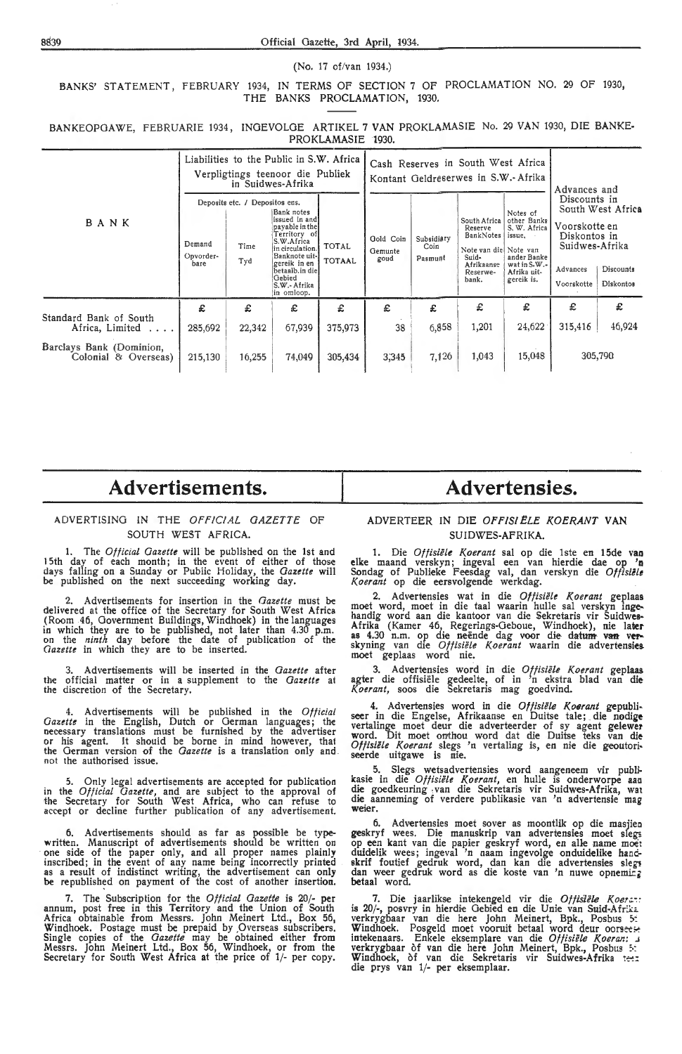(No. 17 of/van 1934.)

BANKS' STATEMENT, FEBRUARY 1934, IN TERMS OF SECTION 7 OF PROCLAMATION NO. 29 OF 1930, THE BANKS PROCLAMATION, 1930.

|                                                  |                             |                                               | Liabilities to the Public in S.W. Africa<br>Verpligtings teenoor die Publiek<br>in Suidwes-Afrika                                                                                          |                               |                              | Cash Reserves in South West Africa<br>Kontant Geldreserwes in S.W.- Afrika | Advances and                                                                                               |                                                                                                               |                        |                                                                                                                |  |
|--------------------------------------------------|-----------------------------|-----------------------------------------------|--------------------------------------------------------------------------------------------------------------------------------------------------------------------------------------------|-------------------------------|------------------------------|----------------------------------------------------------------------------|------------------------------------------------------------------------------------------------------------|---------------------------------------------------------------------------------------------------------------|------------------------|----------------------------------------------------------------------------------------------------------------|--|
| BANK                                             | Demand<br>Opvorder-<br>bare | Deposits etc. / Depositos ens.<br>Time<br>Tyd | iBank notes<br>issued in and<br>payable in the<br>Territory of<br>S.W.Africa<br>in circulation.<br>Banknote uit-<br>gereik in en<br>betaalb.in die<br>Gebied<br>S.W.- Afrika<br>in omloop. | <b>TOTAL</b><br><b>TOTAAL</b> | Oold Coin<br>Gemunte<br>goud | Subsidiary<br>Coin<br>Pasmunt                                              | South Africa<br>Reserve<br>BankNotes<br>Note van diel Note van<br>Suid-<br>Afrikaanse<br>Reserwe-<br>bank. | Notes of<br>other Banks<br>S, W. Africa<br>issue.<br>ander Banke<br>wat in S.W.-<br>Afrika uit-<br>gereik is. | Advances<br>Voorskotte | Discounts in<br>South West Africa<br>Voorskotte en<br>Diskontos in<br>Suidwes-Afrika<br>Discounts<br>Diskontos |  |
| Standard Bank of South                           | £                           | £                                             | £                                                                                                                                                                                          | £                             | £                            | £                                                                          | £                                                                                                          | £                                                                                                             | £                      | £                                                                                                              |  |
| Africa, Limited                                  | 285,692                     | 22,342                                        | 67,939                                                                                                                                                                                     | 375,973                       | 38                           | 6,858                                                                      | 1,201                                                                                                      | 24,622                                                                                                        | 315,416                | 46,924                                                                                                         |  |
| Barclays Bank (Dominion,<br>Colonial & Overseas) | 215,130                     | 16,255                                        | 74,049                                                                                                                                                                                     | 305,434                       | 3,345                        | 7,126                                                                      | 1,043                                                                                                      | 15,048                                                                                                        |                        | 305,790                                                                                                        |  |

BANKEOPOAWE, FEBRUARIE 1934, INGEVOLGE ARTIKEL 7 VAN PROKLAMASIE No. 29 VAN 1930, DIE BANKE-PROKLAMASIE 1930.

## **Advertisements.**

#### ADVERTISING IN THE *Orr!C/Al GAZETTE OF*  SOUTH WEST AFRICA.

**1.** The *Official Gazette* will be published on the 1st and I 5th day of each month; in the event of either of those days falling on a Sunday or Public Holiday, the *Gazette* will be published on the next succeeding working day.

Advertisements for insertion in the *Gazette* must be delivered at the office of the Secretary for South West Africa (Room 46, Government Buildings, Windhoek) in the languages in which they are to be published, not later than 4.30 p.m. on the *ninth* day before the date of publication of the *Gazette* in which they are to be inserted.

3. Advertisements will be inserted in the *Gazette* after the official matter or in a supplement to the *Gazette* at the discretion of the Secretary.

4. Advertisements will be published in the Official *Gazette* in the English, Dutch or German languages; the necessary translations must be furnished by the advertiser or his agent. It should be borne in mind however, that the German version of the *Gazette* is a translation only and not the authorised issue.

5. Only legal advertisements are accepted for publication in the *Official Gazette*, and are subject to the approval of the Secretary for South West Africa, who can refuse to<br>accept or decline further publication of any advertisement.

6. Advertisements should as far as possible be typewritten. Manuscript of advertisements should be written on<br>one side of the paper only, and all proper names plainly inscribed ; in the event of any name being incorrectly printed as a result of indistinct writing, the advertisement can only be republished on payment of the cost of another insertion.

7. The Subscription for the *Official Gazette* is 20/- **per**  annum, post free in this Territory and the Union of South Africa obtainable from Messrs. John Meinert Ltd., Box 56, Windhoek. Postage must be prepaid by ,Overseas subscribers. Single copies of the *Gazette* may be obtained either from Messrs. John Meinert Ltd., Box 56, Windhoek, or from the Secretary for South West Africa at the price of 1/- per copy.

## **Advertensies.**

#### ADVERTEER IN DIE OFFISIËLE KOERANT VAN SUIDWES-AFRIKA.

1. Die *Offisiele Koerant* sal op die lste en 15de vao **elke** maand verskyn; ingeval een van hierdie dae op **'n**  Sondag of Publieke Feesdag val, dan verskyn die *Offisielt K.oerant* op die eersvolgende werkdag.

2. Advertensies wat in die *Oftisiele Koerant* geplaas moet word, moet in die taal waarin hulle sal verskyn inge• handig word aan die kantoor van die Sekretaris vir Suidwes-Afrika (Kamer 46, Regerings-Geboue, Windhoek), nie later- as 4.30 n.m. op die neende dag voor die- datum van **vefk**  skyning van die *Offisiele K.oerant* waarin die advertensies. moet geplaas word nie.

3. Advertensies word in die *Offisiele Koerant* geplaas agter die offisiele gedeelte, of in 'n ekstra blad van **die**  *K.oerant,* soos die Sekretaris mag goedvind.

4. Advertensies word in die *Offisiele K.oerant* gepubli• seer in die Engelse, Afrikaanse en Duitse tale; die **nodige**  vertalinge moet deur die adverteerder of sy agent gelewer word. Dit moet onthou word dat die Duitse teks van die Offisiële Koerant slegs 'n vertaling is, en nie die geoutoriseerde uitgawe is nie.

5. Slegs wetsadvertensies word aangeneem vir publikasie in die *Offisiële Koerant*, en hulle is onderworpe aan die goedkeuring van die Sekretaris vir Suidwes-Afrika, wat die aanneming of verdere publikasie van 'n advertensie mag **weier.** 

6. Advertensies moet sover as moontlik op die masjieo geskryf wees. Die manuskrip van. advertensies moet sleg-; op een kant van die papier geskryf word, en alle name moet duidelik wees; ingeval 'n naam ingevolge onduidelike hancskrif foutief gedruk word, dan kan die advertensies sleg<del>:</del><br>dan weer gedruk word as die koste van 'n nuwe opneming<br>**be**taal word.

7. Die jaarlikse intekengeld vir die *Offisiële Koers.::*<br>is 20/-, posvry in hierdie Gebied en die Unie van Suid-Afrika verkrygbaar van die here John Meinert, Bpk., Posbus 5:<br>**W**indhoek. Posgeld moet vooruit betaal word deur oors<del>ees:</del> intekenaars. Enkele eksemplare van die *Offisiële Koeran: .*i verkrygbaar òf van die here John Meinert, Bpk., Posbus 5:<br>Windhoek, òf van die Sekretaris vir Suidwes-Afrika t<del>etre</del><br>die prys van 1/- per eksemplaar.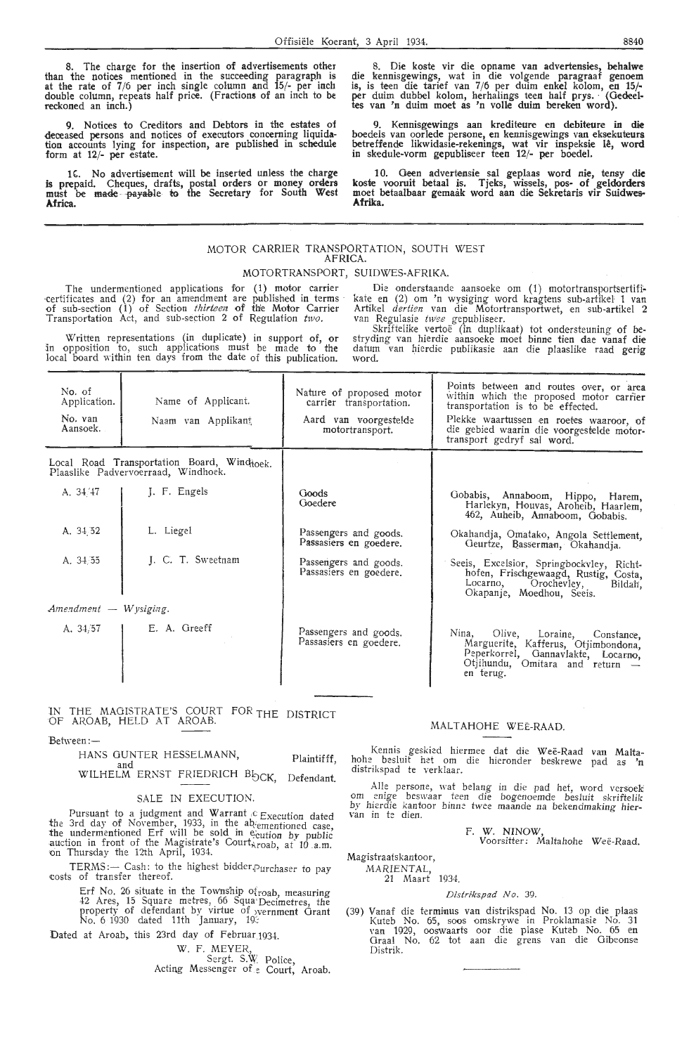The charge for the insertion of advertisements other than the notices mentioned in the succeeding paragraph is at the rate of 7/6 per inch single column and 15/- per inch double column, repeats half price. (Fractions of an inch to be reckoned an inch.)

9. Notices to Creditors and Debtors in the estates of deceased persons and notices of executors concerning liquidation accounts lying for inspection, are published in schedule form at 12/- per estate.

16. No advertisement will be inserted unless the charge is prepaid. Cheques, drafts, postal orders or money orders must be made paya1}le **to** the Secretary for South **West Africa.** 

8. Die koste vir die opname van advertensies, behalwe die kennisgewings, wat in die volgende paragraaf genoem is, is teen die tarief van 7 /6 per duim enkel kolom, en 15f per duim dubbel kolom, herhalings teen half prys. · (Gedeel-tes van 'n duim moet as 'n volle duim bereken word).

9. Kennisgewings aan krediteure en debiteure in die boedels van oorlede persone, en kennisgewings van eksekuteurs betreffende likwidasie-rekenings, wat vir inspeksie lê, word in skedule-vorm gepubliseer teen 12/- per boedel.

10. Geen advertensie sal geplaas word nie, tensy **die**  koste vooruit betaal is. Tjeks, wissels, pos- of geldorders moet betaalbaar gemaak word aan die Sekretaris vir Suidwes-**Afrika.** 

#### MOTOR CARRIER TRANSPORTATION, SOUTH WEST AFRICA.

#### MOTORTRANSPORT, SUIDWES-AFRIKA.

The undermentioned applications for (1) motor carrier certificates and  $(2)$  for an amendment are published in terms of sub-section  $(1)$  of Section *thirteen* of the Motor Carrier Transportation Act, and sub-section 2 of Regulation  $two$ .

Written representations (in duplicate) in support of, or in opposition to, such applications must be made to the local board within ten days from the date of this publication.

Die onderstaande aansoeke om (1) motortransportsertifikate en (2) om' 'n wysiging word kragkns sub-artrkel 1 van Artikel *dertien* van die Motortransportwet, en sub-artikel <sup>2</sup> van Regulasie twee gepubliseer.

Skriftelike vertoe (in duplikaat) tot ondersteuning of bestryding van hierdie aansoeke moet binne tien dae vanaf die datum van hierdie publikasie aan die plaaslike raad gerig word.

| No. of<br>Application.<br>No. van<br>Aansoek. | Name of Applicant.<br>Naam van Applikant                                          | Nature of proposed motor<br>carrier transportation.<br>Aard van voorgestelde<br>motortransport. | Points between and routes over, or area<br>within which the proposed motor carrier<br>transportation is to be effected.<br>Plekke waartussen en roetes waaroor, of<br>die gebied waarin die voorgestelde motor-<br>transport gedryf sal word. |
|-----------------------------------------------|-----------------------------------------------------------------------------------|-------------------------------------------------------------------------------------------------|-----------------------------------------------------------------------------------------------------------------------------------------------------------------------------------------------------------------------------------------------|
|                                               | Local Road Transportation Board, Windhock.<br>Plaaslike Padvervoerraad, Windhoek. |                                                                                                 |                                                                                                                                                                                                                                               |
| A. 34/47                                      | J. F. Engels                                                                      | Goods<br>Goedere                                                                                | Gobabis, Annaboom, Hippo, Harem,<br>Harlekyn, Houvas, Aroheib, Haarlem,<br>462, Auheib, Annaboom, Gobabis.                                                                                                                                    |
| A. 34.52                                      | L. Liegel                                                                         | Passengers and goods.<br>Passasiers en goedere.                                                 | Okahandja, Omatako, Angola Settlement,<br>Geurtze, Basserman, Okahandja.                                                                                                                                                                      |
| A. 34.55                                      | J. C. T. Sweetnam                                                                 | Passengers and goods.<br>Passasiers en goedere.                                                 | Seeis, Excelsior, Springbockvley, Richt-<br>hofen, Frischgewaagd, Rustig, Costa,<br>Locarno. Orochevley, Bildah,<br>Okapanje, Moedhou, Seeis.                                                                                                 |
| Amendment - Wysiging.                         |                                                                                   |                                                                                                 |                                                                                                                                                                                                                                               |
| A. 34/57                                      | E. A. Greeff                                                                      | Passengers and goods.<br>Passasiers en goedere.                                                 | Nina, Olive, Loraine, Constance,<br>Marguerite, Kafferus, Otjimbondona,<br>Peperkorrel, Gannavlakte, Locarno,<br>Otiihundu, Omitara and return -<br>en terug.                                                                                 |

**1N** THE MAGISTRATE'S COURT FOR THE DISTRICT OF AROAB, HELD AT AROAB.

Between:-

HANS GUNTER HESSELMANN, Plaintifff,

WILHELM ERNST FRIEDRICH B<sub>OCK, Defendant.</sub>

#### SALE **IN** EXECUTION.

Pursuant to a judgment and Warrant  $c$  Execution dated the 3rd day of November, 1933, in the abementioned case, the undermentioned Erf will be sold in exaction by public auction in front of the Magistrate's Court $\frac{1}{\lambda}$ roab, at 10 .a.m. on Thursday the 12th April, 1934.

TERMS :- Cash: to the highest bidder. Purchaser to pay ,costs of transfer thereof.

> Erf No. 26 situate in the Township  $o_{1}^{2}$  roab, measuring 42 Ares, 15 Square metres, 66 Squa•Decimetres, the property of defendant by virtue of yvernment Grant No. 6 1930 dated 11th January, 19~

Dated at Aroab, this 23rd day of Februar.1934.

W. F. MEYER,

Sergt. S.W. Police, Acting Messenger of<sub>ie</sub> Court, Aroab.

#### MALTAHOHE WEE-RAAD.

Kennis geskied hiermee dat die Weë-Raad van Malta-<br>hohe besluit het om die hieronder beskrewe pad as 'n<br>distrikspad te verklaar.

Alle persone, wat belang in die pad het, word versoek om enige beswaar teen die bogenoemde besluit skriftelik *by hierdie kantoor binne twee maande na bekendmaking hier-*<br>van in te dien.

F. **W. NINOW,** 

Voorsitter: Maltahohe Weë-Raad.

Magistraatskantoor,

MARIENTAL, 21 Maart 1934.

## Distrikspad No. 39.

(39) Vanaf die terminus van distrikspad No. 13 op die plaas Kuteb No. 65, soos omskrywe in Proklamasie No. 31 van 1929, ooswaarts oor die plase Kuteb No. 65 en<br>Graal No. 62 tot aan die grens van die Gibeonse Distrik.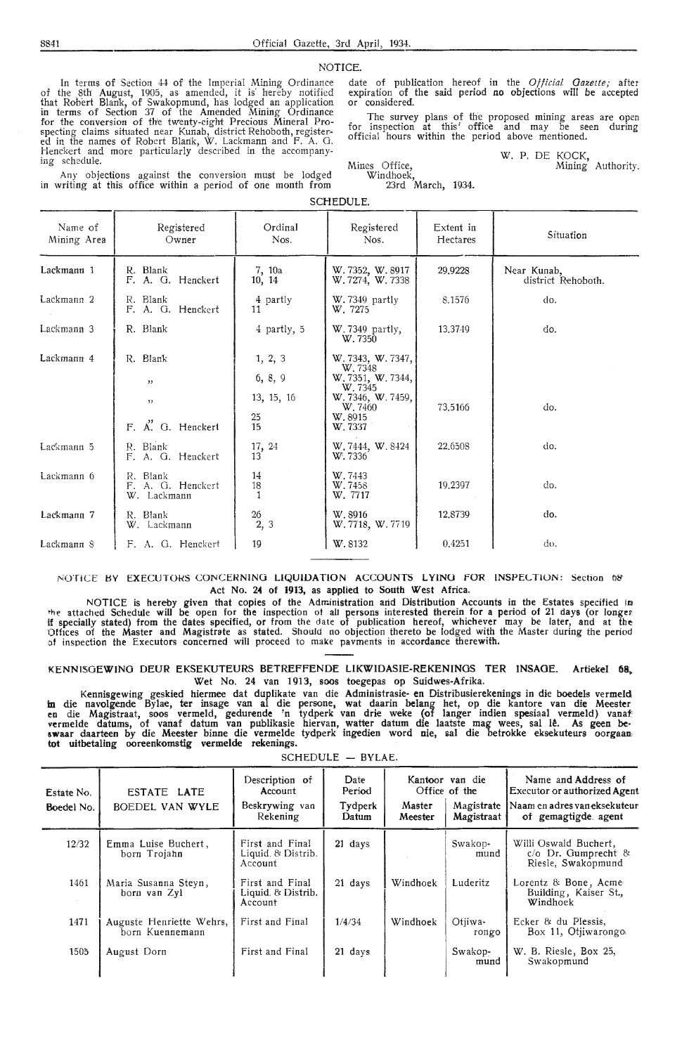NOTICE.

In terms of Section 44 of the Imperial Mining Ordinance of the 8th August, 1905, as amended, it is· hereby notified that Robert Blank, of Swakopmund, has lodged an application in terms of Section 37 of the Amended Mining Ordinance for the conversion of the twenty-eight Precious Mineral Prospecting claims situated near Kunab, district Rehoboth, registered in the names of Robert Blank, W. Lackmann and F. A. G. Henckert and more particularly described in the accompanying schedule.

Any objections against the conversion must be lodged in writing at this office within a period of one month from date of publication hereof in the *Official Gazette;* after expiration of the said period no objections will *be* accepted or considered.

The survey plans of the proposed mining areas are open for inspection at this' office and may be seen during official hours within the period above mentioned.

> W. P. DE KOCK, Mining Authority.

Windhoek, 23rd March, 1934.

Mines Office,

SCHEDULE.

| Name of<br>Mining Area | Registered<br>Owner                          | Ordinal<br>Nos.        | Registered<br>Nos.                                          | Extent in<br>Hectares | Situation                         |
|------------------------|----------------------------------------------|------------------------|-------------------------------------------------------------|-----------------------|-----------------------------------|
| Lackmann 1             | R. Blank<br>F. A. G. Henckert                | 7, 10a<br>10, 14       | W. 7352, W. 8917<br>W. 7274, W. 7338                        | 29,9228               | Near Kunab,<br>district Rehoboth. |
| Lackmann <sub>2</sub>  | R. Blank<br>F. A. G. Henckert                | 4 partly<br>11         | W. 7349 partly<br>W. 7275                                   | 8.1576                | do.                               |
| Lackmann 3             | R. Blank                                     | 4 partly, 5            | $W.7349$ partly,<br>W.7350                                  | 13,3749               | do.                               |
| Lackmann 4             | R. Blank<br>,                                | 1, 2, 3<br>6, 8, 9     | W. 7343, W. 7347,<br>W.7348<br>W. 7351, W. 7344,<br>W. 7345 |                       |                                   |
|                        | 11<br>F. A. G. Henckert                      | 13, 15, 16<br>25<br>15 | W. 7346, W. 7459,<br>W. 7460<br>W.8915<br>W. 7337           | 73.5166               | do.                               |
| Lackmann 5             | R. Blank<br>F. A. G. Henckert                | 17, 24<br>13           | W. 7444, W. 8424<br>W. 7336                                 | 22,6508               | do.                               |
| Lackmann 6             | R. Blank<br>F. A. G. Henckert<br>W. Lackmann | 14<br>18               | W. 7443<br>W.7458<br>W. 7717                                | 19.2397               | do.                               |
| Lackmann 7             | R. Blank<br>W. Lackmann                      | $\frac{26}{2}$ , 3     | W.8916<br>W. 7718, W. 7719                                  | 12,8739               | do.                               |
| Lackmann 8             | F. A. G. Henckert                            | 19                     | W.8132                                                      | 0.4251                | đο,                               |

#### NOTICE HY EXECUTOHS CONCERNING **LIQUIDATION** ACCOUNTS L **YINO** FOR INSPEL TlON: Section 08' Act No. 24 of 1913, as applied to South West Africa.

NOTICE is hereby given that copies of the Administration and Distribution Accounts in the Estates specified in •he attached Schedule will be open for the inspection ot all persons interested therein for a period of 21 days (or longer if specially stated) from the dates specified, or from the date of publication hereof, whichever may be later, and at tht: 1)fhces of the Master and Magistrate as stated. Should no objection thereto be lodged with the Master during the period of inspection the Executors concerned will proceed to make pavments in accordance therewith.

#### KENNISOEWINO DEUR EKSEKUTEURS BETREFFENDE LIKWIDASIE-REKENINOS TER INSAGE. Artiekel **68,**  Wet No. 24 van 1913, soos toegepas op Suidwes-Afrika.

Kennisgewing geskied hiermee dat duplikate van die Administrasie- en Distribusierekenings in die boedels vermeld in die navolgende Bylae, ter insage van al die persone, wat daarin belang het, op die kantore van die Meester<br>en die Magistraat, soos vermeld, gedurende 'n tydperk van drie weke (of langer indien spesiaal vermeld) vanaf vermelde datums, of vanaf datum van publikasie hiervan, watter datum die laatste mag wees, sal lê. As geen be-<br>swaar daarteen by die Meester binne die vermelde tydperk ingedien word nie, sal die betrokke eksekuteurs oorgaa tot uitbetaling ooreenkomstig vermelde rekenings.

SCHEDULE - BYLAE.

| Estate No.<br>Boedel No. | ESTATE LATE<br>BOEDEL VAN WYLE              | Description of<br>Account<br>Beskrywing van<br>Rekening | Date<br>Period<br>Tydperk<br>Datum | Master<br>Meester | Kantoor van die<br>Office of the<br>Magistrate<br>Magistraat | Name and Address of<br>Executor or authorized Agent<br>Naam en adres van eksekuteur<br>of gemagtigde agent |
|--------------------------|---------------------------------------------|---------------------------------------------------------|------------------------------------|-------------------|--------------------------------------------------------------|------------------------------------------------------------------------------------------------------------|
| 12/32                    | Emma Luise Buchert,<br>born Trojahn         | First and Final<br>Liquid. & Distrib.<br>Account        | $21 \text{ days}$                  |                   | Swakop-<br>mund                                              | Willi Oswald Buchert.<br>$c$ / $o$ Dr. Gumprecht &<br>Riesle, Swakopmund                                   |
| 1461                     | Maria Susanna Steyn,<br>born van Zyl        | First and Final<br>Liquid. & Distrib.<br>Account        | 21 days                            | Windhoek          | Luderitz                                                     | Lorentz & Bone, Acme<br>Building, Kaiser St.,<br>Windhoek                                                  |
| 1471                     | Auguste Henriette Wehrs,<br>born Kuennemann | First and Final                                         | 1/4/34                             | Windhoek          | Otiiwa-<br>rongo                                             | Ecker & du Plessis.<br>Box 11, Otjiwarongo                                                                 |
| 1505                     | August Dorn                                 | First and Final                                         | 21 days                            |                   | Swakop-<br>mund                                              | W. B. Riesle, Box 25,<br>Swakopmund                                                                        |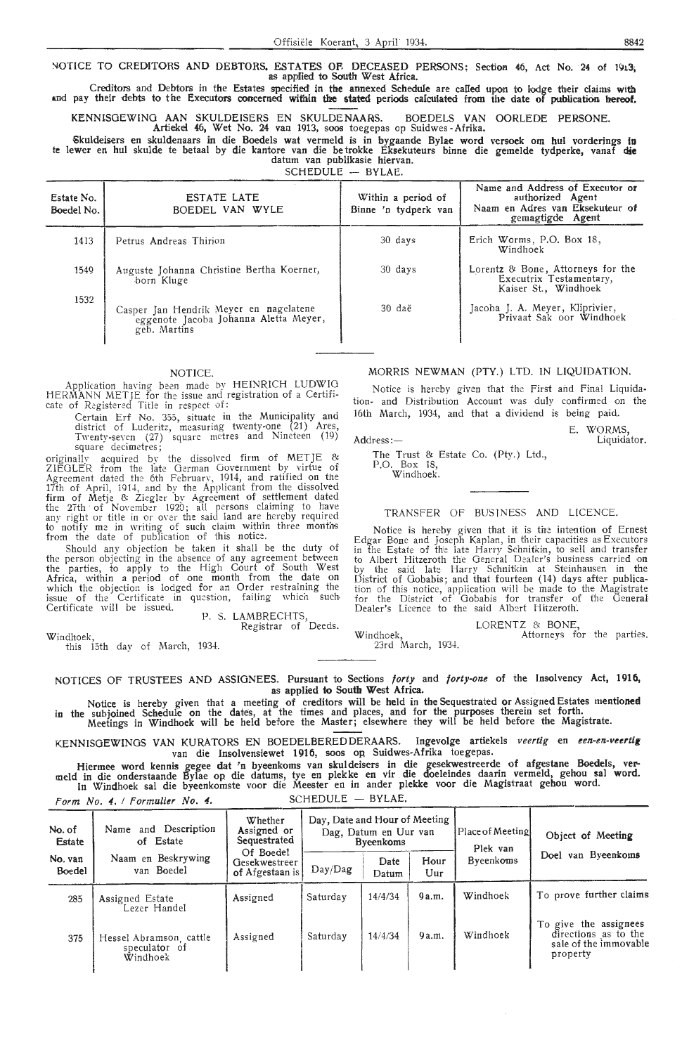#### NOTICE TO CREDITORS AND DEBTORS. ESTATES OF DECEASED PERSONS: Section 46, Act No. 24 of 1913; as applied to South West Africa.

crec;itors and Debtors in the Estates specified in tire annexed Schedule are called upon to lodge their claims **with**  and pay their debts to the Executors concerned within the stated periods calculated from the date of publication hereof.

KENNISGEWING AAN SKULDEISERS EN SKULDENAARS. BOEDELS VAN OORLEDE PERSONE.

Artiekei 46, Wet No. 24 van 1913, soos toegepas op Suidwes -Afrika.

~kuldeisers en skuldenaars in die Boedels wat vermeld is in bygaande Bylae word versock om hul vorderings in te lewer en hul skulde te betaal by die kantore van die be trokke Eksekuteurs binne die gemelde tydperke, vanaf **dte**  datum van publikasie hiervan.

SCHEDULE - BYLAE.

| Estate No.<br>Boedel No. | <b>ESTATE LATE</b><br>BOEDEL VAN WYLE                                                           | Within a period of<br>Binne 'n tydperk van | Name and Address of Executor or<br>authorized Agent<br>Naam en Adres van Eksekuteur of<br>gemagtigde Agent |
|--------------------------|-------------------------------------------------------------------------------------------------|--------------------------------------------|------------------------------------------------------------------------------------------------------------|
| 1413                     | Petrus Andreas Thirion                                                                          | 30 days                                    | Erich Worms, P.O. Box 18,<br>Windhoek                                                                      |
| 1549                     | Auguste Johanna Christine Bertha Koerner,<br>born Kluge                                         | 30 days                                    | Lorentz & Bone, Attorneys for the<br>Executrix Testamentary,<br>Kaiser St., Windhoek                       |
| 1532                     | Casper Jan Hendrik Meyer en nagelatene<br>eggenote Jacoba Johanna Aletta Meyer,<br>geb. Martins | 30 daë                                     | Jacoba J. A. Meyer, Kliprivier,<br>Privaat Sak oor Windhoek                                                |

#### NOTICE.

Application having been made by HEINRICH LUDWIG HERMANN METJE for the issue and registration of a Certificate of Registered Title in respect of:

Certain Erf No. 355, situate in the Municipality and district of Luderitz, measuring twenty-one (21) Ares, Twenty-seven  $(27)$  square metres and Nineteen  $(19)$ square decimetres;

originallv acquired bv the dissolved firm of METJE & ZIEGLE.R from the late German Government by virtue of Agreement dated the 6th February, 1914, and ratified on the 17th of April, 1914, and by the Applicant from the dissolved<br>firm of Metje & Ziegler by Agreement of settlement dated the 27th of November 1920; all persons claiming to have any right or title in or over the said land are hereby required to notify me in writing of such claim within three months<br>from the date of publication of this notice.

Should any objection be taken it shall be the duty of the person objecting in the absence of any agreement between the parties, to apply to the High Court of South West Africa, within a period of one month from the date on which the objection is lodged for an Order restraining the issue of the Certificate in question, failing which such Certificate will be issued. P. S. LAMBRECHTS,

Windhoek,

this 15th day of March, 1934.

MORRIS NEWMAN (PTY.) LTD. IN LIQUIDATION.

Notice is hereby given that the First and Final Liquidation- and Distribution Account was duly confirmed on the 16th March, 1934, and that a dividend is being paid.

E. WORMS, Address: — Liquidator.

The Trust & Estate Co. (Pty.) Ltd., P.O. Box 18, Windhoek.

#### TRANSFER OF BUSlNESS AND LICENCE.

Notice is hereby given that it is the intention of Ernest Edgar Bone and Joseph Kaplan, in their capacities as Executors in the Estate of the late Harry Schnitkin, to sell and transfer to Albert Hitzeroth the General D~aler's business carried on by the said late Harry Schnitkin at Steinhausen in the District of Gobabis; and that fourteen ( 14) days after publication of this notice, application will be made to the Magistrate for the District of Gobabis for transfer of the Generat Dealer's Licence to the said Albert Hitzeroth.

Windhoek, 23rd March, 1934.

LORENTZ & BONE

Attorneys for the parties.

NOTICES OF TRUSTEES AND ASSIGNEES. Pursuant to Sections forty and forty-one of the Insolvency Act, 1916, as applied to South West Africa.

Registrar of Deeds.

Notice is hereby given that a meeting of creditors will be held in the Sequestrated or Assigned Estates mentioned in the subjoined Schedule on the dates, at the times and places, and for the purposes therem set forth. Meetings in Windhoek will be held before the Master; elsewhere they will be held before the Magistrate.

KENNISGEWINGS VAN KURATORS EN BOEDELBEREDDERAARS. Ingevolge artiekels veertig en een-en-veertig van die Insolvensiewet 1916, soos op Suidwes-Afrika toegepas.

Hiermee word kennis gegee dat 'n byeenkoms van skuldeisers in die gesekwestreerde of afgestane Boedels, ver- meld in die onderstaande Bylae op die datums, tye en plekke en vir die doeleindes daarin vermeld, gehou sal word. In Windhoek sal die byeenkomste voor die Meester en in antler plekke voor die Magistraat gehou word.

| Form No. 4. / Formulier No. 4. |  | $SCHEDULE - BYLAE$ |
|--------------------------------|--|--------------------|
|--------------------------------|--|--------------------|

| No. of<br><b>Estate</b> | Name and Description<br>of Estate                    | Whether<br>Assigned or<br>Sequestrated        | Day, Date and Hour of Meeting | Dag, Datum en Uur van<br>Byeenkoms |             | Place of Meeting<br>Plek van | Object of Meeting                                                                  |  |
|-------------------------|------------------------------------------------------|-----------------------------------------------|-------------------------------|------------------------------------|-------------|------------------------------|------------------------------------------------------------------------------------|--|
| No. van<br>Boedel       | Naam en Beskrywing<br>van Boedel                     | Of Boedel<br>Gesekwestreer<br>of Afgestaan is | Day/Dag                       | Date<br>Datum                      | Hour<br>Uur | Byeenkoms                    | Doel van Byeenkoms                                                                 |  |
| 285                     | Assigned Estate<br>Lezer Handel                      | Assigned                                      | Saturday                      | 14/4/34                            | 9a.m.       | Windhoek                     | To prove further claims                                                            |  |
| 375                     | Hessel Abramson, cattle<br>speculator of<br>Windhoek | Assigned                                      | Saturday                      | 14/4/34                            | 9a.m.       | Windhoek                     | To give the assignees<br>directions as to the<br>sale of the immovable<br>property |  |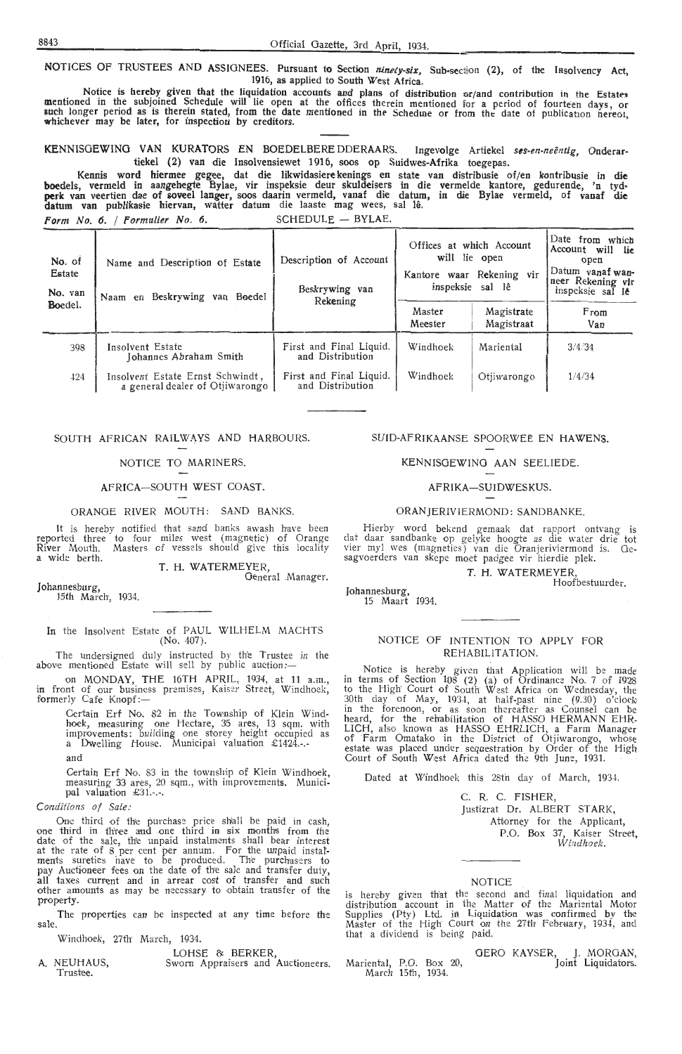NOTICES OF TRUSTEES AND ASSIGNEES. Pursuant to Section *ninety-six,* Sub-section (2), of the Iasolvency **Act,**  1916, as applied to South West Africa.

Notice is hereby given that the liquidation accounts and plans of distribution or/and contribution in the Estates mentioned in the subjoined Schedule will lie open at the offices therein mentioned for a period of fourteen days, or<br>such longer period as is therein stated, from the date mentioned in the Schedule or from the date of publ

KENNISGEWING VAN KURATORS EN BOEDELBERE DDERAARS. Ingevolge Artiekel ses-en-neëntig, Onderartiekel (2) van die Insolvensiewet 1916, soos op Suidwes-Afrika toegepas.

Kennis word hiermee gegee, dat die likwidasiere kenings en state van distribusie of/en kontribusie in die boedels, vermeld in aangehegte Bylae, vir inspeksie deur skuldeisers in die vermelde kantore, gedurende, 'n tyd**perk** van veertien dae of soveel langer, soos daarin vermeld, vanaf die datum, in die Bylae vermeld, of vanaf die datum van publikasie hiervan, watter datum die laaste mag wees, sal la.

Form No. 6. / Formulier No. 6. SCHEDULE  $-$  BYLAE.

| No. of<br>Estate<br>No. van<br>Boedel. | Name and Description of Estate<br>Naam en Beskrywing van Boedel     | Description of Account<br>Beskrywing van<br>Rekening | Offices at which Account<br>Master<br>Meester | will lie open<br>Kantore waar Rekening vir<br>inspeksie sal lê<br>Magistrate<br>Magistraat | Date from which<br>Account will lie<br>open<br>Datum vanaf wan-<br>neer Rekening vir<br>inspeksie sal le<br>From<br>Van |
|----------------------------------------|---------------------------------------------------------------------|------------------------------------------------------|-----------------------------------------------|--------------------------------------------------------------------------------------------|-------------------------------------------------------------------------------------------------------------------------|
| 398                                    | Insolvent Estate<br>Iohannes Abraham Smith                          | First and Final Liquid.<br>and Distribution          | Windhoek                                      | Mariental                                                                                  | 3/4/34                                                                                                                  |
| 424                                    | Insolvent Estate Ernst Schwindt,<br>a general dealer of Otiiwarongo | First and Final Liquid.<br>and Distribution          | Windhoek                                      | Otjiwarongo                                                                                | 1/4/34                                                                                                                  |

#### SOUTH AFRICAN RAILWAYS AND HARBOURS.

#### NOTICE TO MARINERS.

#### AFRICA-SOUTH WEST COAST.

ORANGE RIVER MOUTH: SAND BANKS.

It is hereby notified that sand banks awash have been reported three to four miles west (magnetic) of Oran ge River Mouth. Masters of vessels should give this locality a wide berth.

T. H. WATERMEYER,

Johannesburg, 15th March, 1934.

#### In the Insolvent Estate of PAUL WILHELM MACHTS (No. 407).

The undersigned duly instructed by the Trustee in the above mentioned Estate will sell by public auction:-

on MONDAY, THE 16TH APRIL, 1934, at 11 a.m., in front of our business premises, Kaiser Street, Windhoek, in front of our busines<br>f<mark>or</mark>merly Cafe Kn<mark>o</mark>pf:—

Certain Erf No. 82 in the Township of Klein Windhoek, measuring one Hectare, 35 ares, 13 sqm. with improvements: building one storey height occupied as a Dwelling House. Municipal valuation £1424.-.-

and

Certain Erf No. 83 in the township of Klein Windhoek, measuring 33 ares, 20 sqm., with improvements. Municipal valuation £31.-.-.

C *Ol/lditio ns of Sale:* 

One third of the purchase price shall be paid in cash, one third in three and one third in six months from the date of the sa1e, th'e unpaid instalments shall bear interest at the rate of 8 per cent per annum. For the unpaid instal-<br>ments sureties have to be produced. The purchasers to<br>pay Auctioneer fees on the date of the sale and transfer duty, all taxes current and in arrear cost of transfer and such other amounts as may be necessary to obtain transfer of the property.

The properties can be inspected at any time before the sale.

Windhoek, 27th March, 1934.

A. NEUHAUS, <br>
Trustee. Sworn Appraisers and Auctioneers.<br>
Trustee.

#### SUID-AFRIKAANSE SPOORWEE EN HAWENS.

KENNISOEWINO AAN SEELIEDE.

#### AFRIKA-SUIDWESKUS.

#### ORANJERIVJERMOND: SANDBANKE.

Hierby word bekend gemaak dat rapport ontvang is dat daar sandbanke op gelyke hoogte as die water drie tot vier myl wes (magneties) van die Oranjeriviermond is. Gesagvoerders van skepe moet padgee vir hierdie plek.

> T. H. WATERMEYER, Hoofbestuurder.

15 Maart 1934.

#### NOTICE OF INTENTION TO APPLY FOR REHABIUTATION.

Notice is her-eby given that Application will be made in terms of Section  $108$  (2) (a) of Ordinance No. 7 of 1928 to the High' Court of South West Africa on Wednesday, the 30th day of May, 1934, at half-past nine (9.30) o'clock in the forenoon, or as soon thereafter as Counsel can be heard, for the rehabilitation of HASSO HERMANN EHR-LICH, also known as HASSO EHRLICH, a Farm Manager<br>of Farm Omatako in the District of Otjiwarongo, whose<br>estate was placed under sequestration by Order of the High Court of South West Africa dated the 9th June, 1931.

Dated at Windhoek this 28th day of March, 1934.

C. R. C. FISHER, Justizrat Dr. ALBERT STARK,

Attorney for the Applicant, P.O. Box 37, Kaiser Street, Windhoek.

#### NOTICE

is hereby given that the second and final liquidation and<br>distribution account in the Matter of the Mariental Motor Supplies (Pty) Ltd. in Liquidation was confirmed by the<br>Master of the High Court on the 27th February, 1934, and that a dividend is being paid.

Mariental, P.O. Box 20, March 15th, 1934. FERO KAYSER, J. MURUAN,<br>Joint Liquidators.

General .Manager.

Johannesburg,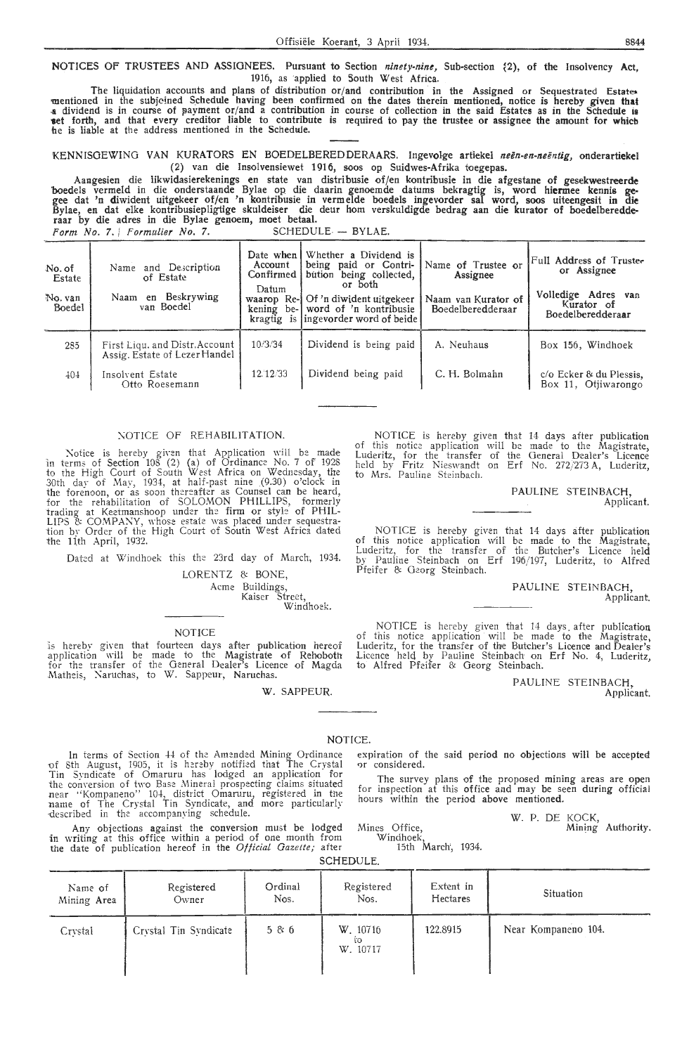NOTICES OF TRUSTEES AND ASSIGNEES. Pursuant to Section *ninety-nine,* Sub-section ~2), of the Insolvency **Act,**  1916, as applied to South West Africa.

The liquidation accounts and plans of distribution or/and contribution in the Assigned or Sequestrated Estates<br>mentioned in the subjoined Schedule having been confirmed on the dates therein mentioned, notice is hereby give a dividend is in course of payment or/and a contribution in course of collection in the said Estates as in the Schedule is **set forth, and that every creditor liable to contribute is required to pay the trustee or assignee the amount for which** he is liable at the address mentioned in the Schedule.

KENNISOEWING VAN KURATORS EN BOEDELBEREDDERAARS. Ingevo1ge artiekel *neen-en-neentig,* onderartiekel (2) van die Insolvensiewet 1916, soos op Suidwes-Afrika toegepas.

Aallgesien die likwidasierekenings en state van distribusie of/en kontribusie in die afgestane of gesekwestreerde boedels vermeld in die onderstaande Bylae op die daarin genoemde datums bekragtig is, word hiermee kennis gegee dat 'n diwident uitgekeer of/en 'n kontribusie in vermelde boeaels ingevorder sal word, soos uiteengesit in die Bylae, en dat elke kontribusiepligtige skuldeiser die deur hom verskuldigde bedrag aan die kurator of boedelberedde-<br>raar by die adres in die Bylae genoem, moet betaal. *Form No.* 7. I *Formulier No.* 7. SCHEDULE - BYLAE.

| No. of<br>Estate<br>No. van<br>Boedel | Name and Description<br>of Estate<br>en Beskrywing<br>Naam<br>van Boedel | Date when I<br>Account<br>Confirmed  <br>Datum | Whether a Dividend is<br>being paid or Contri-<br>bution being collected,<br>or both<br>waarop Re-1 Of 'n diwident uitgekeer<br>kening be- word of 'n kontribusie<br>kragtig is lingevorder word of beide | Name of Trustee or<br>Assignee<br>Naam van Kurator of<br>Boedelberedderaar | Full Address of Trustee<br>or Assignee<br>Volledige Adres van<br>Kurator of<br>Boedelberedderaar |
|---------------------------------------|--------------------------------------------------------------------------|------------------------------------------------|-----------------------------------------------------------------------------------------------------------------------------------------------------------------------------------------------------------|----------------------------------------------------------------------------|--------------------------------------------------------------------------------------------------|
| 285                                   | First Liqu. and Distr. Account<br>Assig. Estate of Lezer Handel          | 10/3/34                                        | Dividend is being paid                                                                                                                                                                                    | A. Neuhaus                                                                 | Box 156, Windhoek                                                                                |
| 404                                   | Insolvent Estate<br>Otto Roesemann                                       | 12.12/33                                       | Dividend being paid                                                                                                                                                                                       | C. H. Bolmahn                                                              | c/o Ecker & du Plessis,<br>Box 11, Otiiwarongo                                                   |

#### NOTICE OF REHABILITATION.

Notice is hereby given that Application will be made in terms of Section 108 (2) (a) of Ordinance No. 7 of 1928 to the High Court of South West Africa on Wednesday, the 30th day of May, 1934, at half-past nine (9.30) o'clock in<br>the forenoon, or as soon thereafter as Counsel can be heard, for the rehabilitation of SOLOMON PHILLIPS, formerly<br>trading at Keetmanshoop under the firm or style of PHIL-<br>LIPS & COMPANY, whose estate was placed under sequestra-<br>tion by Order of the High Court of South West Africa da the 11th April, 1932.

Dated at Windhoek this the 23rd day of March, 1934.

LORENTZ & BONE,

Acme Buildings,

Kaiser Street, Windhoek.

#### NOTICE

is hereby given that fourteen days after publication hereof<br>application will be made to the Magistrate of Rehoboth for the transfer of the General Dealer's Licence of Magda Matheis, Naruchas, to W. Sappeur, Naruchas.

W. SAPPEUR.

NOTICE is hereby given that 14 days after publication of this notice application will be made to the Magistrate, Luderitz, for the transfer of the General Dealer's Licence<br>held by Fritz Nieswandt on Erf No. 272/273 A, Luderitz, to Mrs: Pauline Steinbach.

> PAULINE STEINBACH, Applicant.

NOTICE is her-eby given that 14 days after publication of this notice application w'ill be made to the Magistrate, Luderitz, for the transfer of the Butcher's Licence held by Pauline Steinbach on Erf 196/197, Luderitz, to Alfred Pfeifer & Georg Steinbach.

> PAULINE STEINBACH, Applicant.

NOTICE is hereby given that 14 days. after publication of this notice application will be made to the Magistrate, Luderitz, for the transfer of the Butcher's Licence and Dealer's Licence held by Pauline Steinbach on Erf No. 4, Luderitz, to Alfred Pfeifer & Georg Steinbach.

> PAULINE STEINBACH,. Applicant.

#### NOTICE.

In terms of Section 44 of the Amended Mining Ordinance of 8th August, 1905, it is hereby notified that The Crystal Tin Syndicate of Omaruru has lodged an application for the conversion of two Base Mineral prospecting claims situated near ''Kompaneno" 104, district Omaruru, registered in the name of The Crystal Tin Syndicate, and more particularly described in the accompanying schedule.

Any objections against the conversion must be lodged in writing at this office within a period of one month from the date "of publication her.eof in the *Official Gazette;* after

ex piration of the said period no objections will be accepted 0r considered.

The survey plans of the proposed mining areas are open for inspection at this office and may be seen during official hours within the period above mentioned.

> W. P. DE KOCK, Mining Authority.

Windhoek, 15th March, 1934.

|  | SCHEDULE. |  |
|--|-----------|--|
|  |           |  |

Mines Office,

| Name of     | Registered            | Ordinal | Registered                 | Extent in | Situation           |
|-------------|-----------------------|---------|----------------------------|-----------|---------------------|
| Mining Area | Owner                 | Nos.    | Nos.                       | Hectares  |                     |
| Crystal     | Crystal Tin Syndicate | 5 & 6   | W. 10716<br>ïΟ<br>W. 10717 | 122.8915  | Near Kompaneno 104. |